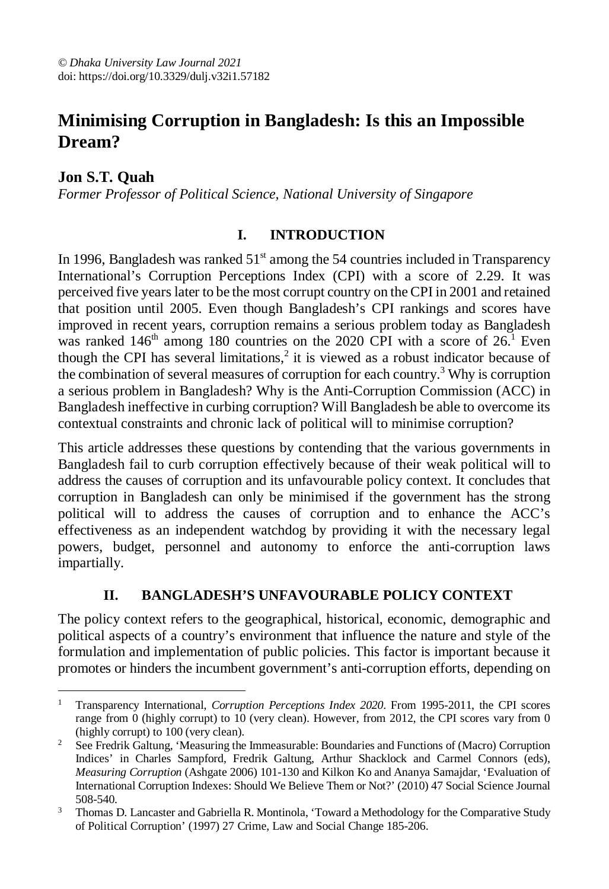# **Minimising Corruption in Bangladesh: Is this an Impossible Dream?**

**Jon S.T. Quah**

*Former Professor of Political Science, National University of Singapore*

### **I. INTRODUCTION**

In 1996, Bangladesh was ranked  $51<sup>st</sup>$  among the 54 countries included in Transparency International's Corruption Perceptions Index (CPI) with a score of 2.29. It was perceived five years later to be the most corrupt country on the CPI in 2001 and retained that position until 2005. Even though Bangladesh's CPI rankings and scores have improved in recent years, corruption remains a serious problem today as Bangladesh was ranked  $146<sup>th</sup>$  among 180 countries on the 2020 CPI with a score of  $26<sup>1</sup>$  Even though the CPI has several limitations,<sup>2</sup> it is viewed as a robust indicator because of the combination of several measures of corruption for each country.<sup>3</sup> Why is corruption a serious problem in Bangladesh? Why is the Anti-Corruption Commission (ACC) in Bangladesh ineffective in curbing corruption? Will Bangladesh be able to overcome its contextual constraints and chronic lack of political will to minimise corruption?

This article addresses these questions by contending that the various governments in Bangladesh fail to curb corruption effectively because of their weak political will to address the causes of corruption and its unfavourable policy context. It concludes that corruption in Bangladesh can only be minimised if the government has the strong political will to address the causes of corruption and to enhance the ACC's effectiveness as an independent watchdog by providing it with the necessary legal powers, budget, personnel and autonomy to enforce the anti-corruption laws impartially.

### **II. BANGLADESH'S UNFAVOURABLE POLICY CONTEXT**

The policy context refers to the geographical, historical, economic, demographic and political aspects of a country's environment that influence the nature and style of the formulation and implementation of public policies. This factor is important because it promotes or hinders the incumbent government's anti-corruption efforts, depending on

 $\overline{a}$ <sup>1</sup> Transparency International, *Corruption Perceptions Index 2020*. From 1995-2011, the CPI scores range from 0 (highly corrupt) to 10 (very clean). However, from 2012, the CPI scores vary from 0 (highly corrupt) to 100 (very clean).

<sup>&</sup>lt;sup>2</sup> See Fredrik Galtung, 'Measuring the Immeasurable: Boundaries and Functions of (Macro) Corruption Indices' in Charles Sampford, Fredrik Galtung, Arthur Shacklock and Carmel Connors (eds), *Measuring Corruption* (Ashgate 2006) 101-130 and Kilkon Ko and Ananya Samajdar, 'Evaluation of International Corruption Indexes: Should We Believe Them or Not?' (2010) 47 Social Science Journal 508-540.

<sup>&</sup>lt;sup>3</sup> Thomas D. Lancaster and Gabriella R. Montinola, 'Toward a Methodology for the Comparative Study of Political Corruption' (1997) 27 Crime, Law and Social Change 185-206.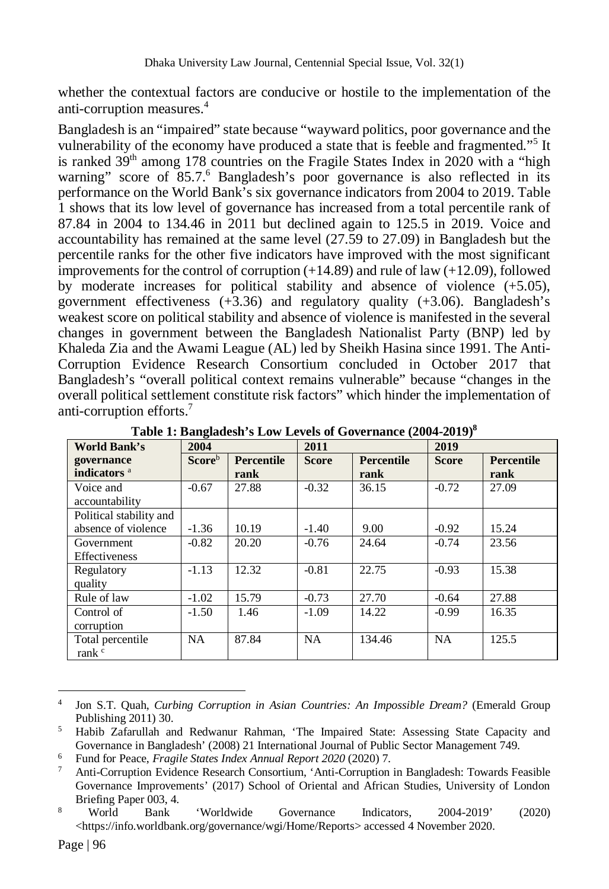whether the contextual factors are conducive or hostile to the implementation of the anti-corruption measures.<sup>4</sup>

Bangladesh is an "impaired" state because "wayward politics, poor governance and the vulnerability of the economy have produced a state that is feeble and fragmented."<sup>5</sup> It is ranked  $39<sup>th</sup>$  among 178 countries on the Fragile States Index in 2020 with a "high warning" score of 85.7.<sup>6</sup> Bangladesh's poor governance is also reflected in its performance on the World Bank's six governance indicators from 2004 to 2019. Table 1 shows that its low level of governance has increased from a total percentile rank of 87.84 in 2004 to 134.46 in 2011 but declined again to 125.5 in 2019. Voice and accountability has remained at the same level (27.59 to 27.09) in Bangladesh but the percentile ranks for the other five indicators have improved with the most significant improvements for the control of corruption  $(+14.89)$  and rule of law  $(+12.09)$ , followed by moderate increases for political stability and absence of violence (+5.05), government effectiveness (+3.36) and regulatory quality (+3.06). Bangladesh's weakest score on political stability and absence of violence is manifested in the several changes in government between the Bangladesh Nationalist Party (BNP) led by Khaleda Zia and the Awami League (AL) led by Sheikh Hasina since 1991. The Anti-Corruption Evidence Research Consortium concluded in October 2017 that Bangladesh's "overall political context remains vulnerable" because "changes in the overall political settlement constitute risk factors" which hinder the implementation of anti-corruption efforts.<sup>7</sup>

| <b>World Bank's</b>                   | 2004           |                           | 2011         | $\frac{1}{2}$ . $\frac{1}{2}$ . $\frac{1}{2}$ . $\frac{1}{2}$ . $\frac{1}{2}$ . $\frac{1}{2}$ . $\frac{1}{2}$ . $\frac{1}{2}$ . $\frac{1}{2}$ . $\frac{1}{2}$ . $\frac{1}{2}$ . $\frac{1}{2}$ | 2019         |                           |
|---------------------------------------|----------------|---------------------------|--------------|-----------------------------------------------------------------------------------------------------------------------------------------------------------------------------------------------|--------------|---------------------------|
| governance<br>indicators <sup>a</sup> | <b>Score</b> b | <b>Percentile</b><br>rank | <b>Score</b> | <b>Percentile</b><br>rank                                                                                                                                                                     | <b>Score</b> | <b>Percentile</b><br>rank |
| Voice and<br>accountability           | $-0.67$        | 27.88                     | $-0.32$      | 36.15                                                                                                                                                                                         | $-0.72$      | 27.09                     |
| Political stability and               |                |                           |              |                                                                                                                                                                                               |              |                           |
| absence of violence                   | $-1.36$        | 10.19                     | $-1.40$      | 9.00                                                                                                                                                                                          | $-0.92$      | 15.24                     |
| Government                            | $-0.82$        | 20.20                     | $-0.76$      | 24.64                                                                                                                                                                                         | $-0.74$      | 23.56                     |
| Effectiveness                         |                |                           |              |                                                                                                                                                                                               |              |                           |
| Regulatory                            | $-1.13$        | 12.32                     | $-0.81$      | 22.75                                                                                                                                                                                         | $-0.93$      | 15.38                     |
| quality                               |                |                           |              |                                                                                                                                                                                               |              |                           |
| Rule of law                           | $-1.02$        | 15.79                     | $-0.73$      | 27.70                                                                                                                                                                                         | $-0.64$      | 27.88                     |
| Control of                            | $-1.50$        | 1.46                      | $-1.09$      | 14.22                                                                                                                                                                                         | $-0.99$      | 16.35                     |
| corruption                            |                |                           |              |                                                                                                                                                                                               |              |                           |
| Total percentile                      | NA             | 87.84                     | NA           | 134.46                                                                                                                                                                                        | <b>NA</b>    | 125.5                     |
| rank <sup>c</sup>                     |                |                           |              |                                                                                                                                                                                               |              |                           |

**Table 1: Bangladesh's Low Levels of Governance (2004-2019)<sup>8</sup>**

 $\overline{a}$ 4 Jon S.T. Quah, *Curbing Corruption in Asian Countries: An Impossible Dream?* (Emerald Group Publishing 2011) 30.

<sup>5</sup> Habib Zafarullah and Redwanur Rahman, 'The Impaired State: Assessing State Capacity and Governance in Bangladesh' (2008) 21 International Journal of Public Sector Management 749.

<sup>6</sup> Fund for Peace, *Fragile States Index Annual Report 2020* (2020) 7.

<sup>7</sup> Anti-Corruption Evidence Research Consortium, 'Anti-Corruption in Bangladesh: Towards Feasible Governance Improvements' (2017) School of Oriental and African Studies, University of London Briefing Paper 003, 4.

<sup>8</sup> World Bank 'Worldwide Governance Indicators, 2004-2019' (2020) <https://info.worldbank.org/governance/wgi/Home/Reports> accessed 4 November 2020.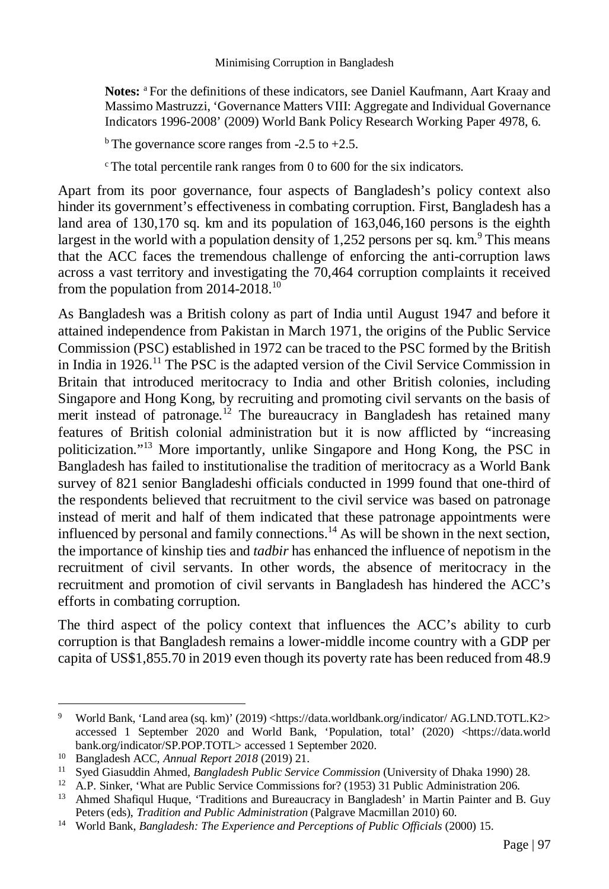**Notes:** <sup>a</sup> For the definitions of these indicators, see Daniel Kaufmann, Aart Kraay and Massimo Mastruzzi, 'Governance Matters VIII: Aggregate and Individual Governance Indicators 1996-2008' (2009) World Bank Policy Research Working Paper 4978, 6.

 $b$  The governance score ranges from -2.5 to +2.5.

 $\degree$ The total percentile rank ranges from 0 to 600 for the six indicators.

Apart from its poor governance, four aspects of Bangladesh's policy context also hinder its government's effectiveness in combating corruption. First, Bangladesh has a land area of 130,170 sq. km and its population of 163,046,160 persons is the eighth largest in the world with a population density of  $1,252$  persons per sq. km.<sup>9</sup> This means that the ACC faces the tremendous challenge of enforcing the anti-corruption laws across a vast territory and investigating the 70,464 corruption complaints it received from the population from  $2014-2018$ .<sup>10</sup>

As Bangladesh was a British colony as part of India until August 1947 and before it attained independence from Pakistan in March 1971, the origins of the Public Service Commission (PSC) established in 1972 can be traced to the PSC formed by the British in India in 1926.<sup>11</sup> The PSC is the adapted version of the Civil Service Commission in Britain that introduced meritocracy to India and other British colonies, including Singapore and Hong Kong, by recruiting and promoting civil servants on the basis of merit instead of patronage.<sup>12</sup> The bureaucracy in Bangladesh has retained many features of British colonial administration but it is now afflicted by "increasing politicization."<sup>13</sup> More importantly, unlike Singapore and Hong Kong, the PSC in Bangladesh has failed to institutionalise the tradition of meritocracy as a World Bank survey of 821 senior Bangladeshi officials conducted in 1999 found that one-third of the respondents believed that recruitment to the civil service was based on patronage instead of merit and half of them indicated that these patronage appointments were influenced by personal and family connections.<sup>14</sup> As will be shown in the next section, the importance of kinship ties and *tadbir* has enhanced the influence of nepotism in the recruitment of civil servants. In other words, the absence of meritocracy in the recruitment and promotion of civil servants in Bangladesh has hindered the ACC's efforts in combating corruption.

The third aspect of the policy context that influences the ACC's ability to curb corruption is that Bangladesh remains a lower-middle income country with a GDP per capita of US\$1,855.70 in 2019 even though its poverty rate has been reduced from 48.9

 $\overline{a}$ 

<sup>9</sup> World Bank, 'Land area (sq. km)' (2019) <https://data.worldbank.org/indicator/ AG.LND.TOTL.K2> accessed 1 September 2020 and World Bank, 'Population, total' (2020) <https://data.world bank.org/indicator/SP.POP.TOTL> accessed 1 September 2020.

<sup>10</sup> Bangladesh ACC, *Annual Report 2018* (2019) 21.

<sup>11</sup> Syed Giasuddin Ahmed, *Bangladesh Public Service Commission* (University of Dhaka 1990) 28.

<sup>&</sup>lt;sup>12</sup> A.P. Sinker, 'What are Public Service Commissions for? (1953) 31 Public Administration 206.

<sup>&</sup>lt;sup>13</sup> Ahmed Shafiqul Huque, 'Traditions and Bureaucracy in Bangladesh' in Martin Painter and B. Guy Peters (eds), *Tradition and Public Administration* (Palgrave Macmillan 2010) 60.

<sup>&</sup>lt;sup>14</sup> World Bank, *Bangladesh: The Experience and Perceptions of Public Officials* (2000) 15.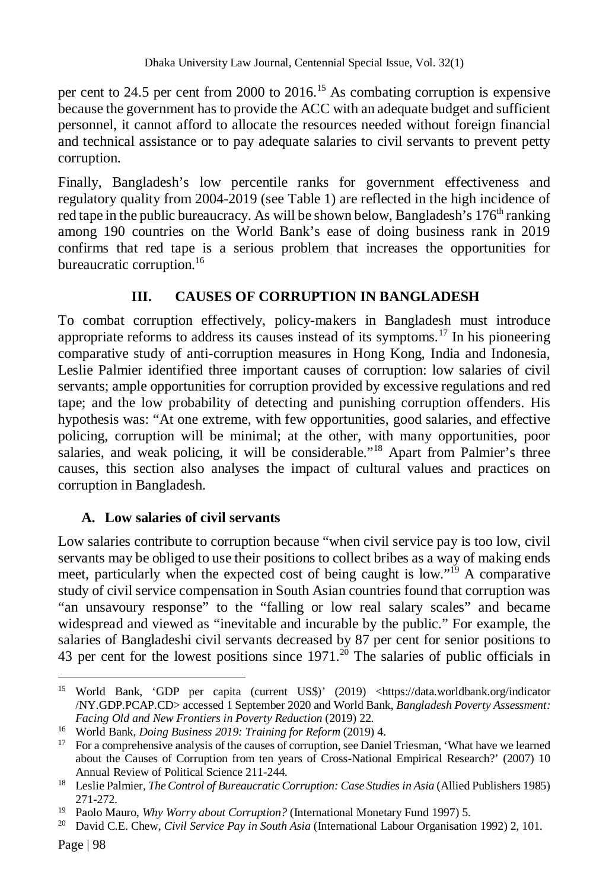per cent to 24.5 per cent from 2000 to 2016.<sup>15</sup> As combating corruption is expensive because the government has to provide the ACC with an adequate budget and sufficient personnel, it cannot afford to allocate the resources needed without foreign financial and technical assistance or to pay adequate salaries to civil servants to prevent petty corruption.

Finally, Bangladesh's low percentile ranks for government effectiveness and regulatory quality from 2004-2019 (see Table 1) are reflected in the high incidence of red tape in the public bureaucracy. As will be shown below, Bangladesh's  $176<sup>th</sup>$  ranking among 190 countries on the World Bank's ease of doing business rank in 2019 confirms that red tape is a serious problem that increases the opportunities for bureaucratic corruption.<sup>16</sup>

# **III. CAUSES OF CORRUPTION IN BANGLADESH**

To combat corruption effectively, policy-makers in Bangladesh must introduce appropriate reforms to address its causes instead of its symptoms.<sup>17</sup> In his pioneering comparative study of anti-corruption measures in Hong Kong, India and Indonesia, Leslie Palmier identified three important causes of corruption: low salaries of civil servants; ample opportunities for corruption provided by excessive regulations and red tape; and the low probability of detecting and punishing corruption offenders. His hypothesis was: "At one extreme, with few opportunities, good salaries, and effective policing, corruption will be minimal; at the other, with many opportunities, poor salaries, and weak policing, it will be considerable."<sup>18</sup> Apart from Palmier's three causes, this section also analyses the impact of cultural values and practices on corruption in Bangladesh.

### **A. Low salaries of civil servants**

Low salaries contribute to corruption because "when civil service pay is too low, civil servants may be obliged to use their positions to collect bribes as a way of making ends meet, particularly when the expected cost of being caught is low."<sup>19</sup> A comparative study of civil service compensation in South Asian countries found that corruption was "an unsavoury response" to the "falling or low real salary scales" and became widespread and viewed as "inevitable and incurable by the public." For example, the salaries of Bangladeshi civil servants decreased by 87 per cent for senior positions to 43 per cent for the lowest positions since  $1971$ .<sup>20</sup> The salaries of public officials in

 $\overline{a}$ <sup>15</sup> World Bank, 'GDP per capita (current US\$)' (2019) <https://data.worldbank.org/indicator /NY.GDP.PCAP.CD> accessed 1 September 2020 and World Bank, *Bangladesh Poverty Assessment: Facing Old and New Frontiers in Poverty Reduction* (2019) 22.

<sup>16</sup> World Bank, *Doing Business 2019: Training for Reform* (2019) 4.

<sup>&</sup>lt;sup>17</sup> For a comprehensive analysis of the causes of corruption, see Daniel Triesman, 'What have we learned about the Causes of Corruption from ten years of Cross-National Empirical Research?' (2007) 10 Annual Review of Political Science 211-244.

<sup>&</sup>lt;sup>18</sup> Leslie Palmier, *The Control of Bureaucratic Corruption: Case Studies in Asia* (Allied Publishers 1985) 271-272.

<sup>19</sup> Paolo Mauro, *Why Worry about Corruption?* (International Monetary Fund 1997) 5.

<sup>20</sup> David C.E. Chew, *Civil Service Pay in South Asia* (International Labour Organisation 1992) 2, 101.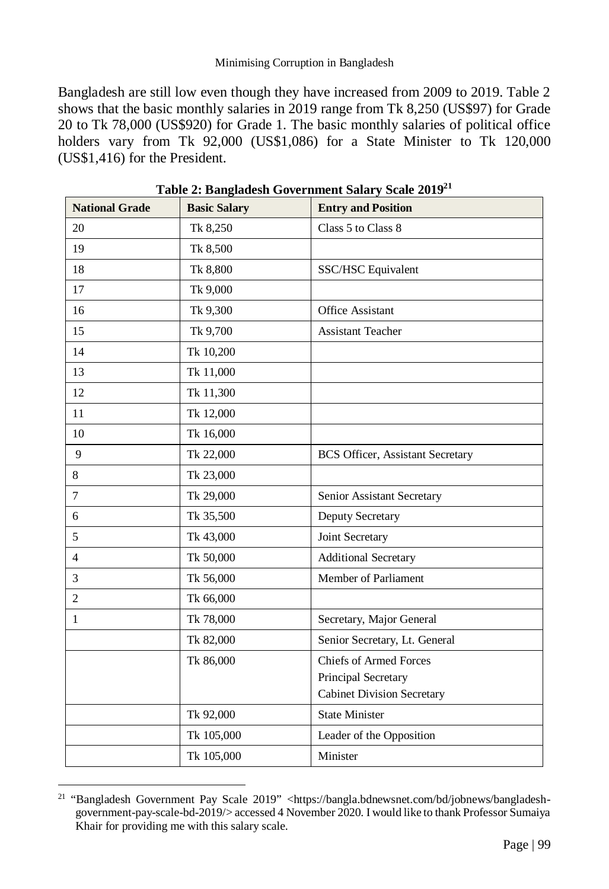#### Minimising Corruption in Bangladesh

Bangladesh are still low even though they have increased from 2009 to 2019. Table 2 shows that the basic monthly salaries in 2019 range from Tk 8,250 (US\$97) for Grade 20 to Tk 78,000 (US\$920) for Grade 1. The basic monthly salaries of political office holders vary from Tk 92,000 (US\$1,086) for a State Minister to Tk 120,000 (US\$1,416) for the President.

| <b>National Grade</b> | <b>Basic Salary</b> | <b>Entry and Position</b>               |  |
|-----------------------|---------------------|-----------------------------------------|--|
| 20                    | Tk 8,250            | Class 5 to Class 8                      |  |
| 19                    | Tk 8,500            |                                         |  |
| 18                    | Tk 8,800            | SSC/HSC Equivalent                      |  |
| 17                    | Tk 9,000            |                                         |  |
| 16                    | Tk 9,300            | Office Assistant                        |  |
| 15                    | Tk 9,700            | <b>Assistant Teacher</b>                |  |
| 14                    | Tk 10,200           |                                         |  |
| 13                    | Tk 11,000           |                                         |  |
| 12                    | Tk 11,300           |                                         |  |
| 11                    | Tk 12,000           |                                         |  |
| 10                    | Tk 16,000           |                                         |  |
| 9                     | Tk 22,000           | <b>BCS Officer, Assistant Secretary</b> |  |
| 8                     | Tk 23,000           |                                         |  |
| $\tau$                | Tk 29,000           | Senior Assistant Secretary              |  |
| 6                     | Tk 35,500           | Deputy Secretary                        |  |
| 5                     | Tk 43,000           | Joint Secretary                         |  |
| $\overline{4}$        | Tk 50,000           | <b>Additional Secretary</b>             |  |
| 3                     | Tk 56,000           | Member of Parliament                    |  |
| $\overline{c}$        | Tk 66,000           |                                         |  |
| $\mathbf{1}$          | Tk 78,000           | Secretary, Major General                |  |
|                       | Tk 82,000           | Senior Secretary, Lt. General           |  |
|                       | Tk 86,000           | <b>Chiefs of Armed Forces</b>           |  |
|                       |                     | Principal Secretary                     |  |
|                       |                     | <b>Cabinet Division Secretary</b>       |  |
|                       | Tk 92,000           | <b>State Minister</b>                   |  |
|                       | Tk 105,000          | Leader of the Opposition                |  |
|                       | Tk 105,000          | Minister                                |  |

**Table 2: Bangladesh Government Salary Scale 2019<sup>21</sup>**

 $\overline{a}$ <sup>21</sup> "Bangladesh Government Pay Scale 2019" <https://bangla.bdnewsnet.com/bd/jobnews/bangladeshgovernment-pay-scale-bd-2019/> accessed 4 November 2020. I would like to thank Professor Sumaiya Khair for providing me with this salary scale.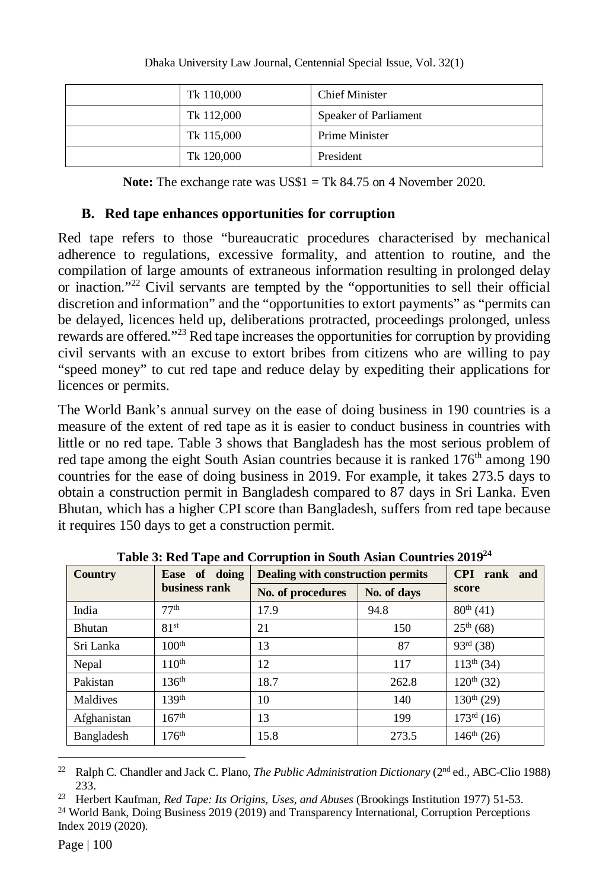| Tk 110,000 | <b>Chief Minister</b>        |
|------------|------------------------------|
| Tk 112,000 | <b>Speaker of Parliament</b> |
| Tk 115,000 | Prime Minister               |
| Tk 120,000 | President                    |

**Note:** The exchange rate was US\$1 = Tk 84.75 on 4 November 2020.

#### **B. Red tape enhances opportunities for corruption**

Red tape refers to those "bureaucratic procedures characterised by mechanical adherence to regulations, excessive formality, and attention to routine, and the compilation of large amounts of extraneous information resulting in prolonged delay or inaction."<sup>22</sup> Civil servants are tempted by the "opportunities to sell their official discretion and information" and the "opportunities to extort payments" as "permits can be delayed, licences held up, deliberations protracted, proceedings prolonged, unless rewards are offered."<sup>23</sup> Red tape increases the opportunities for corruption by providing civil servants with an excuse to extort bribes from citizens who are willing to pay "speed money" to cut red tape and reduce delay by expediting their applications for licences or permits.

The World Bank's annual survey on the ease of doing business in 190 countries is a measure of the extent of red tape as it is easier to conduct business in countries with little or no red tape. Table 3 shows that Bangladesh has the most serious problem of red tape among the eight South Asian countries because it is ranked  $176<sup>th</sup>$  among 190 countries for the ease of doing business in 2019. For example, it takes 273.5 days to obtain a construction permit in Bangladesh compared to 87 days in Sri Lanka. Even Bhutan, which has a higher CPI score than Bangladesh, suffers from red tape because it requires 150 days to get a construction permit.

| Ease of doing<br><b>Country</b><br>business rank |                   | <b>Dealing with construction permits</b> | <b>CPI</b><br>rank and |                        |
|--------------------------------------------------|-------------------|------------------------------------------|------------------------|------------------------|
|                                                  |                   | No. of procedures                        | No. of days            | score                  |
| India                                            | 77 <sup>th</sup>  | 17.9                                     | 94.8                   | $80^{th}(41)$          |
| <b>Bhutan</b>                                    | 81 <sup>st</sup>  | 21                                       | 150                    | $25^{th}$ (68)         |
| Sri Lanka                                        | 100 <sup>th</sup> | 13                                       | 87                     | $93^{rd}$ (38)         |
| Nepal                                            | $110^{th}$        | 12                                       | 117                    | $113^{th}$ (34)        |
| Pakistan                                         | 136 <sup>th</sup> | 18.7                                     | 262.8                  | $120^{th}$ (32)        |
| Maldives                                         | 139 <sup>th</sup> | 10                                       | 140                    | $130^{th}$ (29)        |
| Afghanistan                                      | $167^{\text{th}}$ | 13                                       | 199                    | $173^{\text{rd}}$ (16) |
| Bangladesh                                       | 176 <sup>th</sup> | 15.8                                     | 273.5                  | $146^{th}$ (26)        |

**Table 3: Red Tape and Corruption in South Asian Countries 2019<sup>24</sup>**

<sup>23</sup> Herbert Kaufman, *Red Tape: Its Origins, Uses, and Abuses* (Brookings Institution 1977) 51-53.

<sup>24</sup> World Bank, Doing Business 2019 (2019) and Transparency International, Corruption Perceptions Index 2019 (2020).

 $\overline{a}$ <sup>22</sup> Ralph C. Chandler and Jack C. Plano, *The Public Administration Dictionary* (2<sup>nd</sup> ed., ABC-Clio 1988) 233.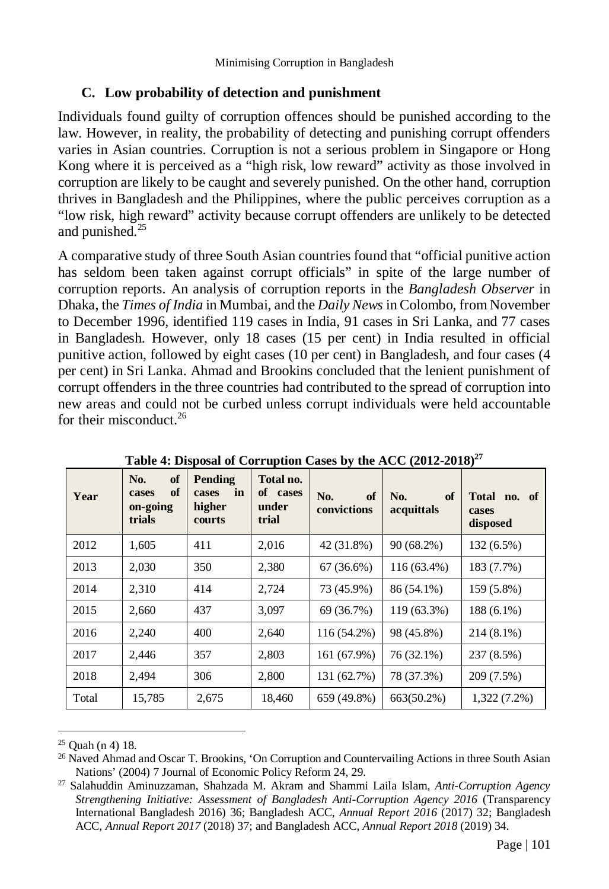## **C. Low probability of detection and punishment**

Individuals found guilty of corruption offences should be punished according to the law. However, in reality, the probability of detecting and punishing corrupt offenders varies in Asian countries. Corruption is not a serious problem in Singapore or Hong Kong where it is perceived as a "high risk, low reward" activity as those involved in corruption are likely to be caught and severely punished. On the other hand, corruption thrives in Bangladesh and the Philippines, where the public perceives corruption as a "low risk, high reward" activity because corrupt offenders are unlikely to be detected and punished.<sup>25</sup>

A comparative study of three South Asian countries found that "official punitive action has seldom been taken against corrupt officials" in spite of the large number of corruption reports. An analysis of corruption reports in the *Bangladesh Observer* in Dhaka, the *Times of India* in Mumbai, and the *Daily News* in Colombo, from November to December 1996, identified 119 cases in India, 91 cases in Sri Lanka, and 77 cases in Bangladesh. However, only 18 cases (15 per cent) in India resulted in official punitive action, followed by eight cases (10 per cent) in Bangladesh, and four cases (4 per cent) in Sri Lanka. Ahmad and Brookins concluded that the lenient punishment of corrupt offenders in the three countries had contributed to the spread of corruption into new areas and could not be curbed unless corrupt individuals were held accountable for their misconduct.<sup>26</sup>

| Year  | No.<br>of<br>of<br>cases<br>on-going<br>trials | Pending<br>in<br>cases<br>higher<br>courts | Total no.<br>of cases<br>under<br>trial | of<br>No.<br>convictions | of<br>No.<br>acquittals | Total no. of<br>cases<br>disposed |
|-------|------------------------------------------------|--------------------------------------------|-----------------------------------------|--------------------------|-------------------------|-----------------------------------|
| 2012  | 1,605                                          | 411                                        | 2,016                                   | 42 (31.8%)               | $90(68.2\%)$            | 132 (6.5%)                        |
| 2013  | 2,030                                          | 350                                        | 2,380                                   | $67(36.6\%)$             | 116 (63.4%)             | 183 (7.7%)                        |
| 2014  | 2,310                                          | 414                                        | 2,724                                   | 73 (45.9%)               | 86 (54.1%)              | 159 (5.8%)                        |
| 2015  | 2,660                                          | 437                                        | 3,097                                   | 69 (36.7%)               | 119 (63.3%)             | 188 (6.1%)                        |
| 2016  | 2,240                                          | 400                                        | 2,640                                   | 116 (54.2%)              | 98 (45.8%)              | $214(8.1\%)$                      |
| 2017  | 2,446                                          | 357                                        | 2,803                                   | 161 (67.9%)              | 76 (32.1%)              | 237 (8.5%)                        |
| 2018  | 2.494                                          | 306                                        | 2,800                                   | 131 (62.7%)              | 78 (37.3%)              | 209 (7.5%)                        |
| Total | 15,785                                         | 2,675                                      | 18,460                                  | 659 (49.8%)              | 663(50.2%)              | $1,322(7.2\%)$                    |

**Table 4: Disposal of Corruption Cases by the ACC (2012-2018)<sup>27</sup>**

 $\overline{a}$  $25$  Quah (n 4) 18.

<sup>&</sup>lt;sup>26</sup> Naved Ahmad and Oscar T. Brookins, 'On Corruption and Countervailing Actions in three South Asian Nations' (2004) 7 Journal of Economic Policy Reform 24, 29.

<sup>27</sup> Salahuddin Aminuzzaman, Shahzada M. Akram and Shammi Laila Islam, *Anti-Corruption Agency Strengthening Initiative: Assessment of Bangladesh Anti-Corruption Agency 2016* (Transparency International Bangladesh 2016) 36; Bangladesh ACC, *Annual Report 2016* (2017) 32; Bangladesh ACC, *Annual Report 2017* (2018) 37; and Bangladesh ACC, *Annual Report 2018* (2019) 34.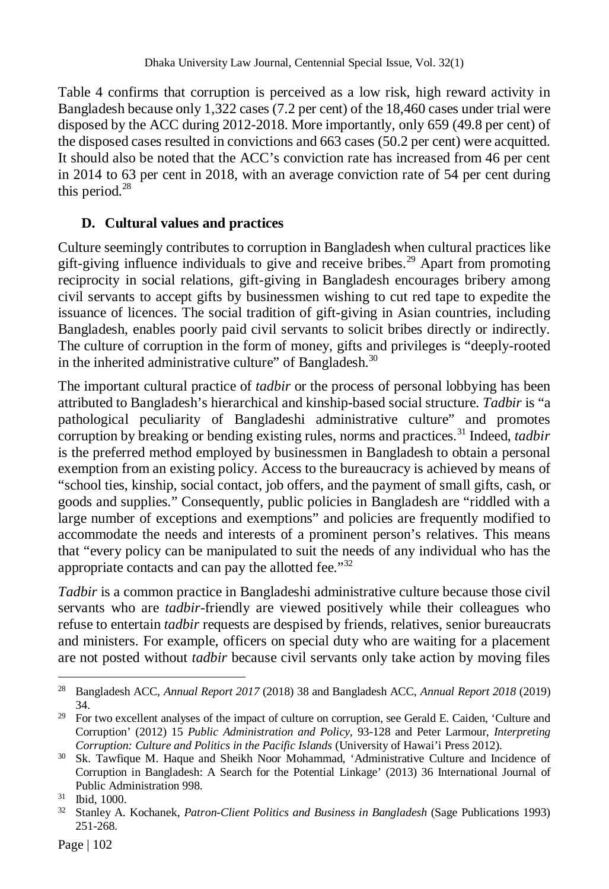Table 4 confirms that corruption is perceived as a low risk, high reward activity in Bangladesh because only 1,322 cases (7.2 per cent) of the 18,460 cases under trial were disposed by the ACC during 2012-2018. More importantly, only 659 (49.8 per cent) of the disposed cases resulted in convictions and 663 cases (50.2 per cent) were acquitted. It should also be noted that the ACC's conviction rate has increased from 46 per cent in 2014 to 63 per cent in 2018, with an average conviction rate of 54 per cent during this period.<sup>28</sup>

# **D. Cultural values and practices**

Culture seemingly contributes to corruption in Bangladesh when cultural practices like gift-giving influence individuals to give and receive bribes.<sup>29</sup> Apart from promoting reciprocity in social relations, gift-giving in Bangladesh encourages bribery among civil servants to accept gifts by businessmen wishing to cut red tape to expedite the issuance of licences. The social tradition of gift-giving in Asian countries, including Bangladesh, enables poorly paid civil servants to solicit bribes directly or indirectly. The culture of corruption in the form of money, gifts and privileges is "deeply-rooted in the inherited administrative culture" of Bangladesh. $30$ 

The important cultural practice of *tadbir* or the process of personal lobbying has been attributed to Bangladesh's hierarchical and kinship-based social structure. *Tadbir* is "a pathological peculiarity of Bangladeshi administrative culture" and promotes corruption by breaking or bending existing rules, norms and practices.<sup>31</sup> Indeed, *tadbir* is the preferred method employed by businessmen in Bangladesh to obtain a personal exemption from an existing policy. Access to the bureaucracy is achieved by means of "school ties, kinship, social contact, job offers, and the payment of small gifts, cash, or goods and supplies." Consequently, public policies in Bangladesh are "riddled with a large number of exceptions and exemptions" and policies are frequently modified to accommodate the needs and interests of a prominent person's relatives. This means that "every policy can be manipulated to suit the needs of any individual who has the appropriate contacts and can pay the allotted fee."<sup>32</sup>

*Tadbir* is a common practice in Bangladeshi administrative culture because those civil servants who are *tadbir-*friendly are viewed positively while their colleagues who refuse to entertain *tadbir* requests are despised by friends, relatives, senior bureaucrats and ministers. For example, officers on special duty who are waiting for a placement are not posted without *tadbir* because civil servants only take action by moving files

 $\overline{a}$ 

<sup>28</sup> Bangladesh ACC, *Annual Report 2017* (2018) 38 and Bangladesh ACC, *Annual Report 2018* (2019) 34.

<sup>&</sup>lt;sup>29</sup> For two excellent analyses of the impact of culture on corruption, see Gerald E. Caiden, 'Culture and Corruption' (2012) 15 *Public Administration and Policy,* 93-128 and Peter Larmour, *Interpreting Corruption: Culture and Politics in the Pacific Islands* (University of Hawai'i Press 2012).

<sup>&</sup>lt;sup>30</sup> Sk. Tawfique M. Haque and Sheikh Noor Mohammad, 'Administrative Culture and Incidence of Corruption in Bangladesh: A Search for the Potential Linkage' (2013) 36 International Journal of Public Administration 998.

<sup>31</sup> Ibid, 1000.

<sup>32</sup> Stanley A. Kochanek, *Patron-Client Politics and Business in Bangladesh* (Sage Publications 1993) 251-268.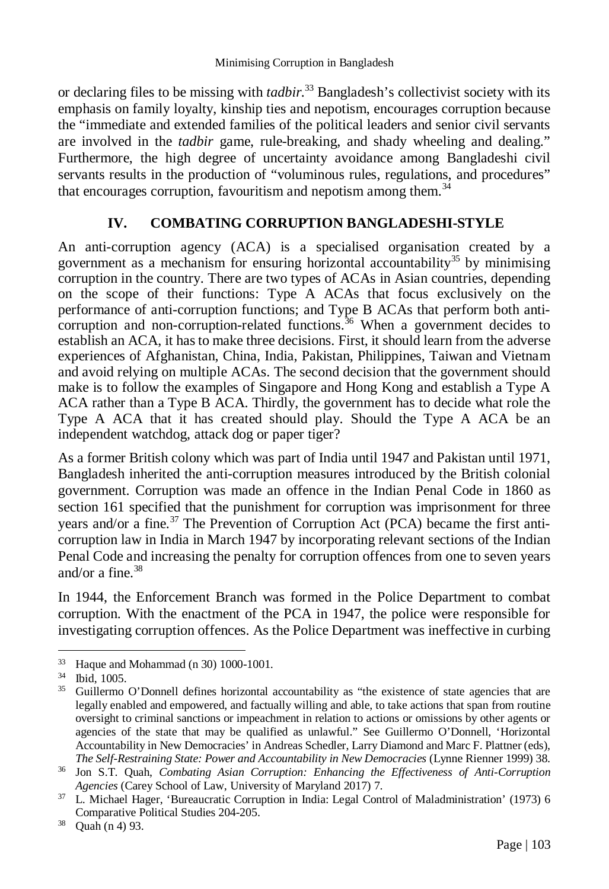or declaring files to be missing with *tadbir.*<sup>33</sup> Bangladesh's collectivist society with its emphasis on family loyalty, kinship ties and nepotism, encourages corruption because the "immediate and extended families of the political leaders and senior civil servants are involved in the *tadbir* game, rule-breaking, and shady wheeling and dealing." Furthermore, the high degree of uncertainty avoidance among Bangladeshi civil servants results in the production of "voluminous rules, regulations, and procedures" that encourages corruption, favouritism and nepotism among them. $34$ 

# **IV. COMBATING CORRUPTION BANGLADESHI-STYLE**

An anti-corruption agency (ACA) is a specialised organisation created by a government as a mechanism for ensuring horizontal accountability<sup>35</sup> by minimising corruption in the country. There are two types of ACAs in Asian countries, depending on the scope of their functions: Type A ACAs that focus exclusively on the performance of anti-corruption functions; and Type B ACAs that perform both anticorruption and non-corruption-related functions.<sup>36</sup> When a government decides to establish an ACA, it has to make three decisions. First, it should learn from the adverse experiences of Afghanistan, China, India, Pakistan, Philippines, Taiwan and Vietnam and avoid relying on multiple ACAs. The second decision that the government should make is to follow the examples of Singapore and Hong Kong and establish a Type A ACA rather than a Type B ACA. Thirdly, the government has to decide what role the Type A ACA that it has created should play. Should the Type A ACA be an independent watchdog, attack dog or paper tiger?

As a former British colony which was part of India until 1947 and Pakistan until 1971, Bangladesh inherited the anti-corruption measures introduced by the British colonial government. Corruption was made an offence in the Indian Penal Code in 1860 as section 161 specified that the punishment for corruption was imprisonment for three years and/or a fine.<sup>37</sup> The Prevention of Corruption Act (PCA) became the first anticorruption law in India in March 1947 by incorporating relevant sections of the Indian Penal Code and increasing the penalty for corruption offences from one to seven years and/or a fine. $38$ 

In 1944, the Enforcement Branch was formed in the Police Department to combat corruption. With the enactment of the PCA in 1947, the police were responsible for investigating corruption offences. As the Police Department was ineffective in curbing

 $\overline{a}$ <sup>33</sup> Haque and Mohammad (n 30) 1000-1001.

 $\frac{34}{35}$  Ibid, 1005.

Guillermo O'Donnell defines horizontal accountability as "the existence of state agencies that are legally enabled and empowered, and factually willing and able, to take actions that span from routine oversight to criminal sanctions or impeachment in relation to actions or omissions by other agents or agencies of the state that may be qualified as unlawful." See Guillermo O'Donnell, 'Horizontal Accountability in New Democracies' in Andreas Schedler, Larry Diamond and Marc F. Plattner (eds), *The Self-Restraining State: Power and Accountability in New Democracies* (Lynne Rienner 1999) 38.

<sup>36</sup> Jon S.T. Quah, *Combating Asian Corruption: Enhancing the Effectiveness of Anti-Corruption Agencies* (Carey School of Law, University of Maryland 2017) 7.

<sup>37</sup> L. Michael Hager, 'Bureaucratic Corruption in India: Legal Control of Maladministration' (1973) 6 Comparative Political Studies 204-205.

<sup>38</sup> Quah (n 4) 93.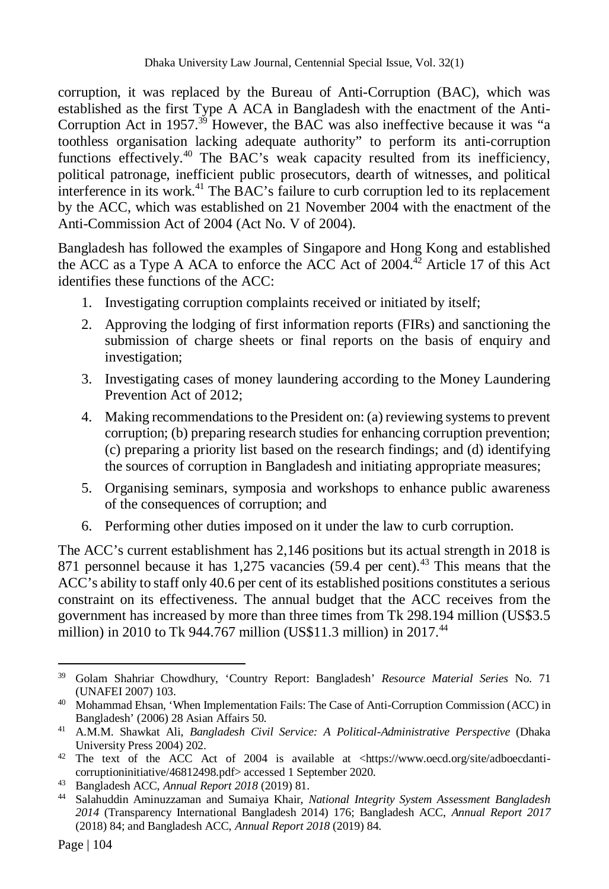corruption, it was replaced by the Bureau of Anti-Corruption (BAC), which was established as the first Type A ACA in Bangladesh with the enactment of the Anti-Corruption Act in  $1957^{39}$  However, the BAC was also ineffective because it was "a toothless organisation lacking adequate authority" to perform its anti-corruption functions effectively.<sup>40</sup> The BAC's weak capacity resulted from its inefficiency, political patronage, inefficient public prosecutors, dearth of witnesses, and political interference in its work.<sup>41</sup> The BAC's failure to curb corruption led to its replacement by the ACC, which was established on 21 November 2004 with the enactment of the Anti-Commission Act of 2004 (Act No. V of 2004).

Bangladesh has followed the examples of Singapore and Hong Kong and established the ACC as a Type A ACA to enforce the ACC Act of  $2004$ <sup> $42$ </sup> Article 17 of this Act identifies these functions of the ACC:

- 1. Investigating corruption complaints received or initiated by itself;
- 2. Approving the lodging of first information reports (FIRs) and sanctioning the submission of charge sheets or final reports on the basis of enquiry and investigation;
- 3. Investigating cases of money laundering according to the Money Laundering Prevention Act of 2012;
- 4. Making recommendations to the President on: (a) reviewing systems to prevent corruption; (b) preparing research studies for enhancing corruption prevention; (c) preparing a priority list based on the research findings; and (d) identifying the sources of corruption in Bangladesh and initiating appropriate measures;
- 5. Organising seminars, symposia and workshops to enhance public awareness of the consequences of corruption; and
- 6. Performing other duties imposed on it under the law to curb corruption.

The ACC's current establishment has 2,146 positions but its actual strength in 2018 is 871 personnel because it has  $1,275$  vacancies (59.4 per cent).<sup>43</sup> This means that the ACC's ability to staff only 40.6 per cent of its established positions constitutes a serious constraint on its effectiveness. The annual budget that the ACC receives from the government has increased by more than three times from Tk 298.194 million (US\$3.5 million) in 2010 to Tk 944.767 million (US\$11.3 million) in  $2017<sup>44</sup>$ 

 $\overline{a}$ 

<sup>39</sup> Golam Shahriar Chowdhury, 'Country Report: Bangladesh' *Resource Material Series* No. 71 (UNAFEI 2007) 103.

<sup>40</sup> Mohammad Ehsan, 'When Implementation Fails: The Case of Anti-Corruption Commission (ACC) in Bangladesh' (2006) 28 Asian Affairs 50.

<sup>41</sup> A.M.M. Shawkat Ali, *Bangladesh Civil Service: A Political-Administrative Perspective* (Dhaka University Press 2004) 202.

<sup>42</sup> The text of the ACC Act of 2004 is available at <https://www.oecd.org/site/adboecdanticorruptioninitiative/46812498.pdf> accessed 1 September 2020.

<sup>43</sup> Bangladesh ACC, *Annual Report 2018* (2019) 81.

<sup>44</sup> Salahuddin Aminuzzaman and Sumaiya Khair, *National Integrity System Assessment Bangladesh 2014* (Transparency International Bangladesh 2014) 176; Bangladesh ACC, *Annual Report 2017*  (2018) 84; and Bangladesh ACC, *Annual Report 2018* (2019) 84.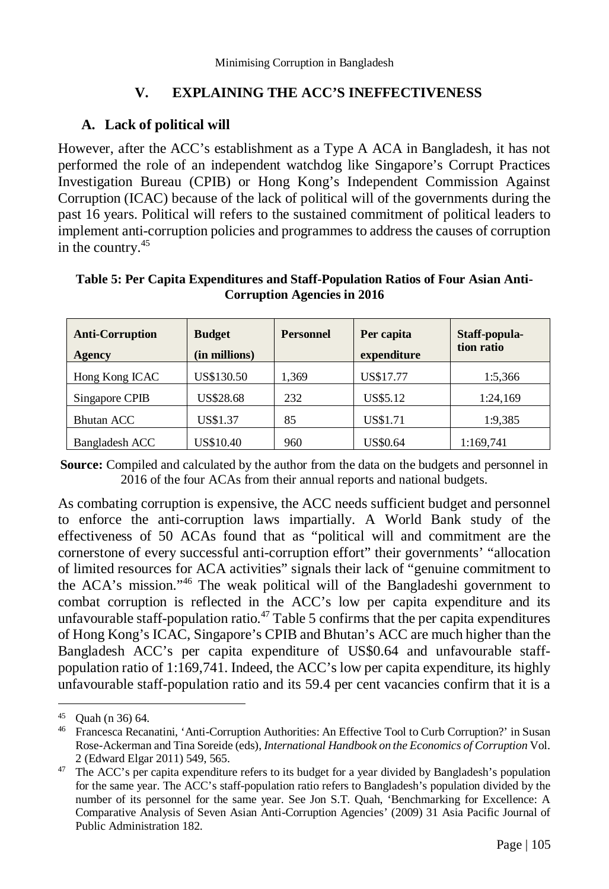## **V. EXPLAINING THE ACC'S INEFFECTIVENESS**

#### **A. Lack of political will**

However, after the ACC's establishment as a Type A ACA in Bangladesh, it has not performed the role of an independent watchdog like Singapore's Corrupt Practices Investigation Bureau (CPIB) or Hong Kong's Independent Commission Against Corruption (ICAC) because of the lack of political will of the governments during the past 16 years. Political will refers to the sustained commitment of political leaders to implement anti-corruption policies and programmes to address the causes of corruption in the country.<sup>45</sup>

| <b>Anti-Corruption</b><br><b>Agency</b> | <b>Budget</b><br>(in millions) | <b>Personnel</b> | Per capita<br>expenditure | Staff-popula-<br>tion ratio |
|-----------------------------------------|--------------------------------|------------------|---------------------------|-----------------------------|
| Hong Kong ICAC                          | US\$130.50                     | 1.369            | US\$17.77                 | 1:5,366                     |
| Singapore CPIB                          | US\$28.68                      | 232              | US\$5.12                  | 1:24,169                    |
| <b>Bhutan ACC</b>                       | US\$1.37                       | 85               | US\$1.71                  | 1:9.385                     |
| Bangladesh ACC                          | US\$10.40                      | 960              | <b>US\$0.64</b>           | 1:169,741                   |

#### **Table 5: Per Capita Expenditures and Staff-Population Ratios of Four Asian Anti-Corruption Agencies in 2016**

**Source:** Compiled and calculated by the author from the data on the budgets and personnel in 2016 of the four ACAs from their annual reports and national budgets.

As combating corruption is expensive, the ACC needs sufficient budget and personnel to enforce the anti-corruption laws impartially. A World Bank study of the effectiveness of 50 ACAs found that as "political will and commitment are the cornerstone of every successful anti-corruption effort" their governments' "allocation of limited resources for ACA activities" signals their lack of "genuine commitment to the ACA's mission."<sup>46</sup> The weak political will of the Bangladeshi government to combat corruption is reflected in the ACC's low per capita expenditure and its unfavourable staff-population ratio. $47$  Table 5 confirms that the per capita expenditures of Hong Kong's ICAC, Singapore's CPIB and Bhutan's ACC are much higher than the Bangladesh ACC's per capita expenditure of US\$0.64 and unfavourable staffpopulation ratio of 1:169,741. Indeed, the ACC's low per capita expenditure, its highly unfavourable staff-population ratio and its 59.4 per cent vacancies confirm that it is a

 $\overline{a}$ <sup>45</sup> Quah (n 36) 64.

<sup>46</sup> Francesca Recanatini, 'Anti-Corruption Authorities: An Effective Tool to Curb Corruption?' in Susan Rose-Ackerman and Tina Soreide (eds), *International Handbook on the Economics of Corruption* Vol. 2 (Edward Elgar 2011) 549, 565.

<sup>&</sup>lt;sup>47</sup> The ACC's per capita expenditure refers to its budget for a year divided by Bangladesh's population for the same year. The ACC's staff-population ratio refers to Bangladesh's population divided by the number of its personnel for the same year. See Jon S.T. Quah, 'Benchmarking for Excellence: A Comparative Analysis of Seven Asian Anti-Corruption Agencies' (2009) 31 Asia Pacific Journal of Public Administration 182.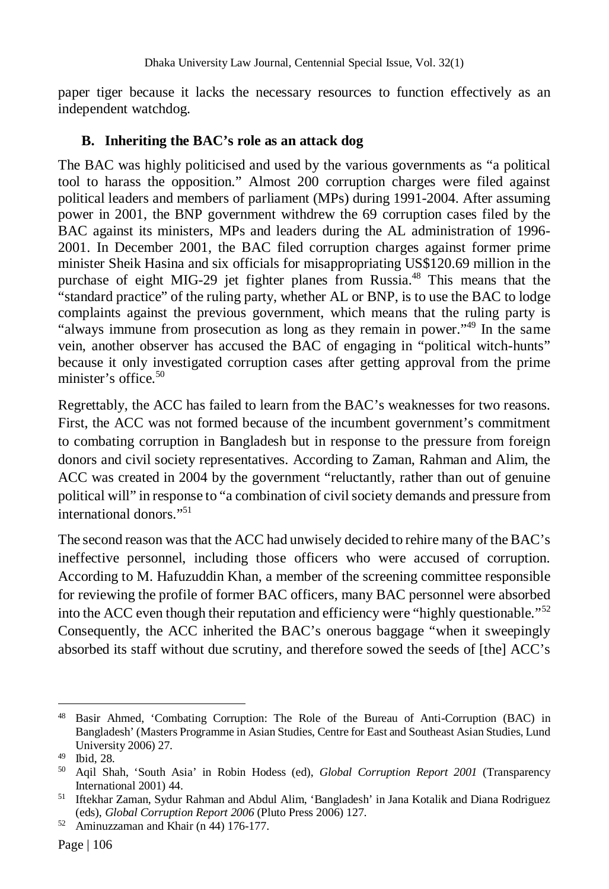paper tiger because it lacks the necessary resources to function effectively as an independent watchdog.

#### **B. Inheriting the BAC's role as an attack dog**

The BAC was highly politicised and used by the various governments as "a political tool to harass the opposition." Almost 200 corruption charges were filed against political leaders and members of parliament (MPs) during 1991-2004. After assuming power in 2001, the BNP government withdrew the 69 corruption cases filed by the BAC against its ministers, MPs and leaders during the AL administration of 1996- 2001. In December 2001, the BAC filed corruption charges against former prime minister Sheik Hasina and six officials for misappropriating US\$120.69 million in the purchase of eight MIG-29 jet fighter planes from Russia.<sup>48</sup> This means that the "standard practice" of the ruling party, whether AL or BNP, is to use the BAC to lodge complaints against the previous government, which means that the ruling party is "always immune from prosecution as long as they remain in power."<sup>49</sup> In the same vein, another observer has accused the BAC of engaging in "political witch-hunts" because it only investigated corruption cases after getting approval from the prime minister's office. $50$ 

Regrettably, the ACC has failed to learn from the BAC's weaknesses for two reasons. First, the ACC was not formed because of the incumbent government's commitment to combating corruption in Bangladesh but in response to the pressure from foreign donors and civil society representatives. According to Zaman, Rahman and Alim, the ACC was created in 2004 by the government "reluctantly, rather than out of genuine political will" in response to "a combination of civil society demands and pressure from international donors."<sup>51</sup>

The second reason was that the ACC had unwisely decided to rehire many of the BAC's ineffective personnel, including those officers who were accused of corruption. According to M. Hafuzuddin Khan, a member of the screening committee responsible for reviewing the profile of former BAC officers, many BAC personnel were absorbed into the ACC even though their reputation and efficiency were "highly questionable." $52$ Consequently, the ACC inherited the BAC's onerous baggage "when it sweepingly absorbed its staff without due scrutiny, and therefore sowed the seeds of [the] ACC's

 $\overline{a}$ <sup>48</sup> Basir Ahmed, 'Combating Corruption: The Role of the Bureau of Anti-Corruption (BAC) in Bangladesh' (Masters Programme in Asian Studies, Centre for East and Southeast Asian Studies, Lund University 2006) 27.

<sup>49</sup> Ibid, 28.

<sup>50</sup> Aqil Shah, 'South Asia' in Robin Hodess (ed), *Global Corruption Report 2001* (Transparency International 2001) 44.

<sup>51</sup> Iftekhar Zaman, Sydur Rahman and Abdul Alim, 'Bangladesh' in Jana Kotalik and Diana Rodriguez (eds), *Global Corruption Report 2006* (Pluto Press 2006) 127.

<sup>52</sup> Aminuzzaman and Khair (n 44) 176-177.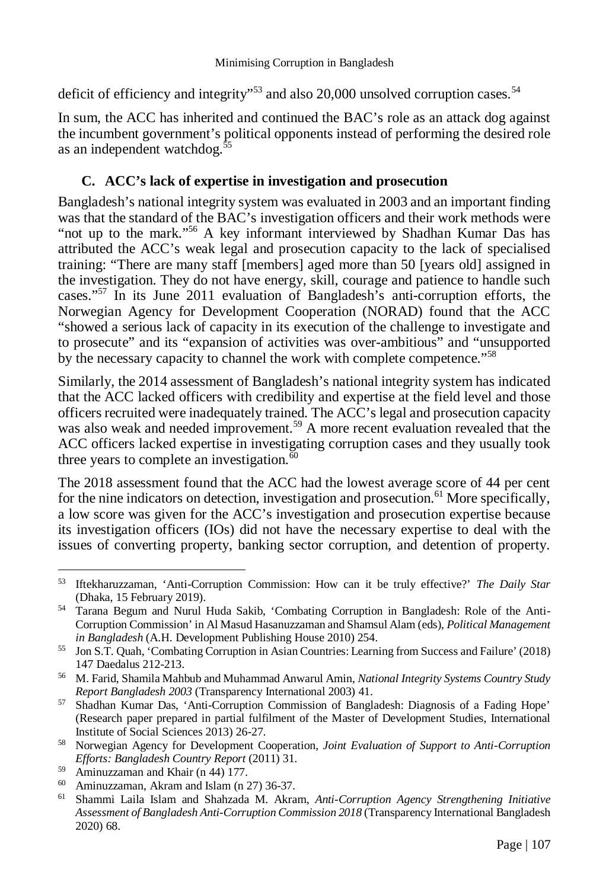deficit of efficiency and integrity"<sup>53</sup> and also 20,000 unsolved corruption cases.<sup>54</sup>

In sum, the ACC has inherited and continued the BAC's role as an attack dog against the incumbent government's political opponents instead of performing the desired role as an independent watchdog.<sup>55</sup>

#### **C. ACC's lack of expertise in investigation and prosecution**

Bangladesh's national integrity system was evaluated in 2003 and an important finding was that the standard of the BAC's investigation officers and their work methods were "not up to the mark."<sup>56</sup> A key informant interviewed by Shadhan Kumar Das has attributed the ACC's weak legal and prosecution capacity to the lack of specialised training: "There are many staff [members] aged more than 50 [years old] assigned in the investigation. They do not have energy, skill, courage and patience to handle such cases."<sup>57</sup> In its June 2011 evaluation of Bangladesh's anti-corruption efforts, the Norwegian Agency for Development Cooperation (NORAD) found that the ACC "showed a serious lack of capacity in its execution of the challenge to investigate and to prosecute" and its "expansion of activities was over-ambitious" and "unsupported by the necessary capacity to channel the work with complete competence."<sup>58</sup>

Similarly, the 2014 assessment of Bangladesh's national integrity system has indicated that the ACC lacked officers with credibility and expertise at the field level and those officers recruited were inadequately trained. The ACC's legal and prosecution capacity was also weak and needed improvement.<sup>59</sup> A more recent evaluation revealed that the ACC officers lacked expertise in investigating corruption cases and they usually took three years to complete an investigation. $\overline{60}$ 

The 2018 assessment found that the ACC had the lowest average score of 44 per cent for the nine indicators on detection, investigation and prosecution.<sup>61</sup> More specifically, a low score was given for the ACC's investigation and prosecution expertise because its investigation officers (IOs) did not have the necessary expertise to deal with the issues of converting property, banking sector corruption, and detention of property.

 $\overline{a}$ <sup>53</sup> Iftekharuzzaman, 'Anti-Corruption Commission: How can it be truly effective?' *The Daily Star*  (Dhaka, 15 February 2019).

<sup>54</sup> Tarana Begum and Nurul Huda Sakib, 'Combating Corruption in Bangladesh: Role of the Anti-Corruption Commission' in Al Masud Hasanuzzaman and Shamsul Alam (eds), *Political Management in Bangladesh* (A.H. Development Publishing House 2010) 254.

<sup>55</sup> Jon S.T. Quah, 'Combating Corruption in Asian Countries: Learning from Success and Failure' (2018) 147 Daedalus 212-213.

<sup>56</sup> M. Farid, Shamila Mahbub and Muhammad Anwarul Amin, *National Integrity Systems Country Study Report Bangladesh 2003* (Transparency International 2003) 41.

<sup>57</sup> Shadhan Kumar Das, 'Anti-Corruption Commission of Bangladesh: Diagnosis of a Fading Hope' (Research paper prepared in partial fulfilment of the Master of Development Studies, International Institute of Social Sciences 2013) 26-27.

<sup>58</sup> Norwegian Agency for Development Cooperation, *Joint Evaluation of Support to Anti-Corruption Efforts: Bangladesh Country Report* (2011) 31.

<sup>59</sup> Aminuzzaman and Khair (n 44) 177.

<sup>60</sup> Aminuzzaman, Akram and Islam (n 27) 36-37.

<sup>61</sup> Shammi Laila Islam and Shahzada M. Akram, *Anti-Corruption Agency Strengthening Initiative Assessment of Bangladesh Anti-Corruption Commission 2018* (Transparency International Bangladesh 2020) 68.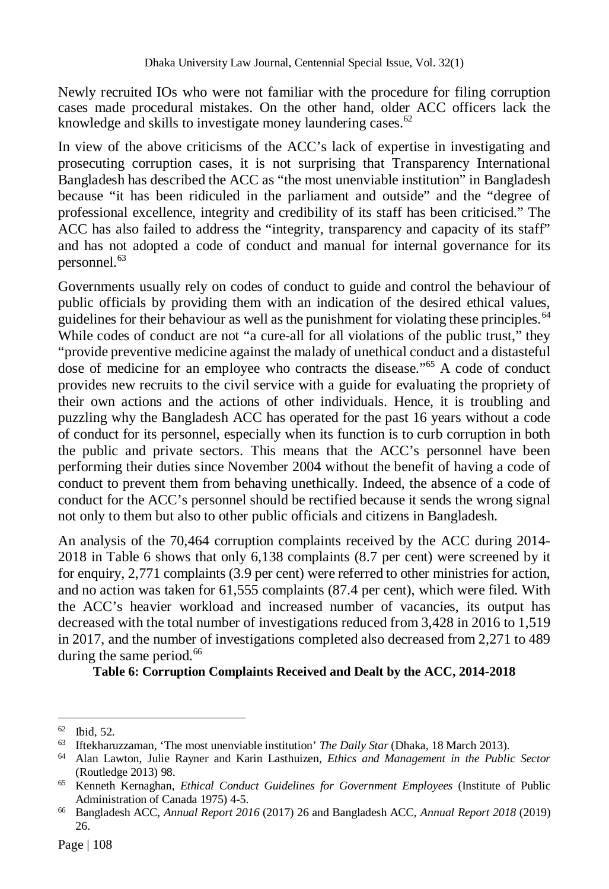Newly recruited IOs who were not familiar with the procedure for filing corruption cases made procedural mistakes. On the other hand, older ACC officers lack the knowledge and skills to investigate money laundering cases.<sup>62</sup>

In view of the above criticisms of the ACC's lack of expertise in investigating and prosecuting corruption cases, it is not surprising that Transparency International Bangladesh has described the ACC as "the most unenviable institution" in Bangladesh because "it has been ridiculed in the parliament and outside" and the "degree of professional excellence, integrity and credibility of its staff has been criticised." The ACC has also failed to address the "integrity, transparency and capacity of its staff" and has not adopted a code of conduct and manual for internal governance for its personnel.<sup>63</sup>

Governments usually rely on codes of conduct to guide and control the behaviour of public officials by providing them with an indication of the desired ethical values, guidelines for their behaviour as well as the punishment for violating these principles.<sup>64</sup> While codes of conduct are not "a cure-all for all violations of the public trust," they "provide preventive medicine against the malady of unethical conduct and a distasteful dose of medicine for an employee who contracts the disease."<sup>65</sup> A code of conduct provides new recruits to the civil service with a guide for evaluating the propriety of their own actions and the actions of other individuals. Hence, it is troubling and puzzling why the Bangladesh ACC has operated for the past 16 years without a code of conduct for its personnel, especially when its function is to curb corruption in both the public and private sectors. This means that the ACC's personnel have been performing their duties since November 2004 without the benefit of having a code of conduct to prevent them from behaving unethically. Indeed, the absence of a code of conduct for the ACC's personnel should be rectified because it sends the wrong signal not only to them but also to other public officials and citizens in Bangladesh.

An analysis of the 70,464 corruption complaints received by the ACC during 2014- 2018 in Table 6 shows that only 6,138 complaints (8.7 per cent) were screened by it for enquiry, 2,771 complaints (3.9 per cent) were referred to other ministries for action, and no action was taken for 61,555 complaints (87.4 per cent), which were filed. With the ACC's heavier workload and increased number of vacancies, its output has decreased with the total number of investigations reduced from 3,428 in 2016 to 1,519 in 2017, and the number of investigations completed also decreased from 2,271 to 489 during the same period. $66$ 

**Table 6: Corruption Complaints Received and Dealt by the ACC, 2014-2018**

 $\overline{a}$ <sup>62</sup> Ibid, 52.

<sup>63</sup> Iftekharuzzaman, 'The most unenviable institution' *The Daily Star* (Dhaka, 18 March 2013).

<sup>64</sup> Alan Lawton, Julie Rayner and Karin Lasthuizen, *Ethics and Management in the Public Sector*  (Routledge 2013) 98.

<sup>65</sup> Kenneth Kernaghan, *Ethical Conduct Guidelines for Government Employees* (Institute of Public Administration of Canada 1975) 4-5.

<sup>66</sup> Bangladesh ACC, *Annual Report 2016* (2017) 26 and Bangladesh ACC, *Annual Report 2018* (2019) 26.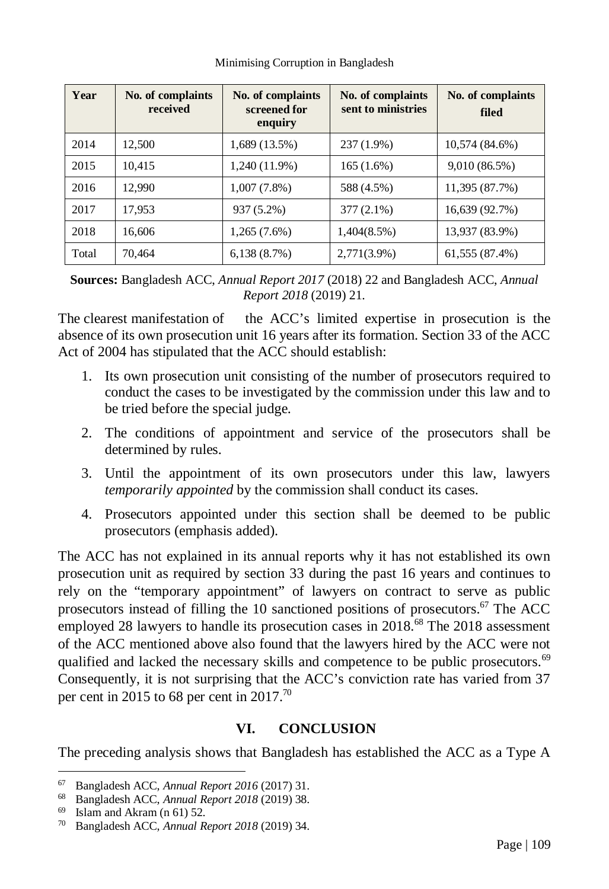| Year  | No. of complaints<br>received | No. of complaints<br>screened for<br>enquiry | No. of complaints<br>sent to ministries | No. of complaints<br>filed |
|-------|-------------------------------|----------------------------------------------|-----------------------------------------|----------------------------|
| 2014  | 12.500                        | $1,689(13.5\%)$                              | 237 (1.9%)                              | 10,574 (84.6%)             |
| 2015  | 10,415                        | $1,240(11.9\%)$                              | $165(1.6\%)$                            | 9,010(86.5%)               |
| 2016  | 12.990                        | $1,007(7.8\%)$                               | 588 (4.5%)                              | 11,395 (87.7%)             |
| 2017  | 17,953                        | 937 (5.2%)                                   | $377(2.1\%)$                            | 16,639 (92.7%)             |
| 2018  | 16.606                        | $1,265(7.6\%)$                               | $1,404(8.5\%)$                          | 13,937 (83.9%)             |
| Total | 70.464                        | 6,138(8.7%)                                  | 2,771(3.9%)                             | 61,555 (87.4%)             |

**Sources:** Bangladesh ACC, *Annual Report 2017* (2018) 22 and Bangladesh ACC, *Annual Report 2018* (2019) 21.

The clearest manifestation of the ACC's limited expertise in prosecution is the absence of its own prosecution unit 16 years after its formation. Section 33 of the ACC Act of 2004 has stipulated that the ACC should establish:

- 1. Its own prosecution unit consisting of the number of prosecutors required to conduct the cases to be investigated by the commission under this law and to be tried before the special judge.
- 2. The conditions of appointment and service of the prosecutors shall be determined by rules.
- 3. Until the appointment of its own prosecutors under this law, lawyers *temporarily appointed* by the commission shall conduct its cases.
- 4. Prosecutors appointed under this section shall be deemed to be public prosecutors (emphasis added).

The ACC has not explained in its annual reports why it has not established its own prosecution unit as required by section 33 during the past 16 years and continues to rely on the "temporary appointment" of lawyers on contract to serve as public prosecutors instead of filling the 10 sanctioned positions of prosecutors.<sup>67</sup> The ACC employed 28 lawyers to handle its prosecution cases in  $2018$ .<sup>68</sup> The 2018 assessment of the ACC mentioned above also found that the lawyers hired by the ACC were not qualified and lacked the necessary skills and competence to be public prosecutors.<sup>69</sup> Consequently, it is not surprising that the ACC's conviction rate has varied from 37 per cent in 2015 to 68 per cent in 2017.<sup>70</sup>

### **VI. CONCLUSION**

The preceding analysis shows that Bangladesh has established the ACC as a Type A

l

<sup>67</sup> Bangladesh ACC, *Annual Report 2016* (2017) 31.

<sup>68</sup> Bangladesh ACC, *Annual Report 2018* (2019) 38.

 $69$  Islam and Akram (n 61) 52.

<sup>70</sup> Bangladesh ACC, *Annual Report 2018* (2019) 34.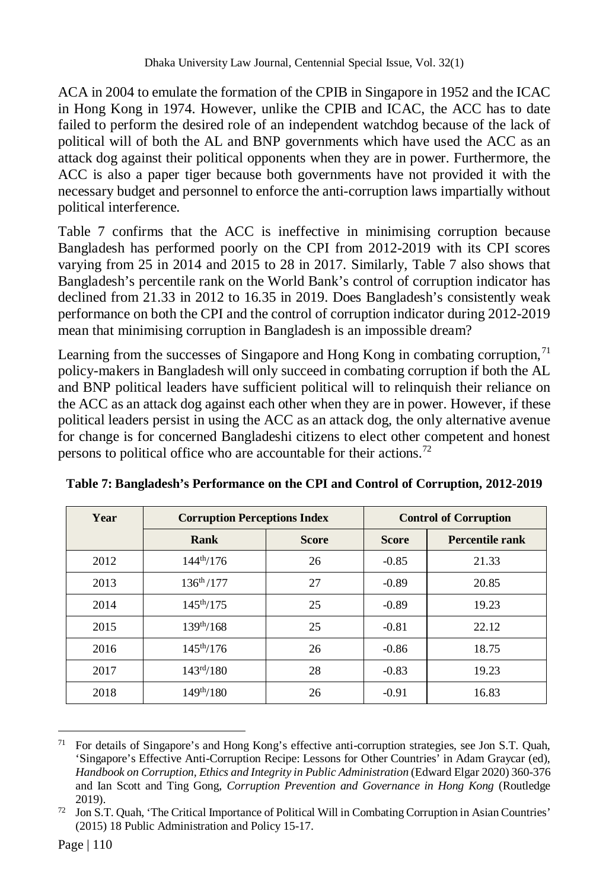ACA in 2004 to emulate the formation of the CPIB in Singapore in 1952 and the ICAC in Hong Kong in 1974. However, unlike the CPIB and ICAC, the ACC has to date failed to perform the desired role of an independent watchdog because of the lack of political will of both the AL and BNP governments which have used the ACC as an attack dog against their political opponents when they are in power. Furthermore, the ACC is also a paper tiger because both governments have not provided it with the necessary budget and personnel to enforce the anti-corruption laws impartially without political interference.

Table 7 confirms that the ACC is ineffective in minimising corruption because Bangladesh has performed poorly on the CPI from 2012-2019 with its CPI scores varying from 25 in 2014 and 2015 to 28 in 2017. Similarly, Table 7 also shows that Bangladesh's percentile rank on the World Bank's control of corruption indicator has declined from 21.33 in 2012 to 16.35 in 2019. Does Bangladesh's consistently weak performance on both the CPI and the control of corruption indicator during 2012-2019 mean that minimising corruption in Bangladesh is an impossible dream?

Learning from the successes of Singapore and Hong Kong in combating corruption, $7<sup>1</sup>$ policy-makers in Bangladesh will only succeed in combating corruption if both the AL and BNP political leaders have sufficient political will to relinquish their reliance on the ACC as an attack dog against each other when they are in power. However, if these political leaders persist in using the ACC as an attack dog, the only alternative avenue for change is for concerned Bangladeshi citizens to elect other competent and honest persons to political office who are accountable for their actions.<sup>72</sup>

| Year | <b>Corruption Perceptions Index</b> |              | <b>Control of Corruption</b> |                        |
|------|-------------------------------------|--------------|------------------------------|------------------------|
|      | Rank                                | <b>Score</b> | <b>Score</b>                 | <b>Percentile rank</b> |
| 2012 | $144^{th}/176$                      | 26           | $-0.85$                      | 21.33                  |
| 2013 | $136^{th}/177$                      | 27           | $-0.89$                      | 20.85                  |
| 2014 | $145^{th}/175$                      | 25           | $-0.89$                      | 19.23                  |
| 2015 | $139^{th}/168$                      | 25           | $-0.81$                      | 22.12                  |
| 2016 | $145^{th}/176$                      | 26           | $-0.86$                      | 18.75                  |
| 2017 | 143 <sup>rd</sup> /180              | 28           | $-0.83$                      | 19.23                  |
| 2018 | $149^{th}/180$                      | 26           | $-0.91$                      | 16.83                  |

**Table 7: Bangladesh's Performance on the CPI and Control of Corruption, 2012-2019**

 $71\,$ <sup>71</sup> For details of Singapore's and Hong Kong's effective anti-corruption strategies, see Jon S.T. Quah, 'Singapore's Effective Anti-Corruption Recipe: Lessons for Other Countries' in Adam Graycar (ed), *Handbook on Corruption, Ethics and Integrity in Public Administration* (Edward Elgar 2020) 360-376 and Ian Scott and Ting Gong, *Corruption Prevention and Governance in Hong Kong* (Routledge 2019).

<sup>72</sup> Jon S.T. Quah, 'The Critical Importance of Political Will in Combating Corruption in Asian Countries' (2015) 18 Public Administration and Policy 15-17.